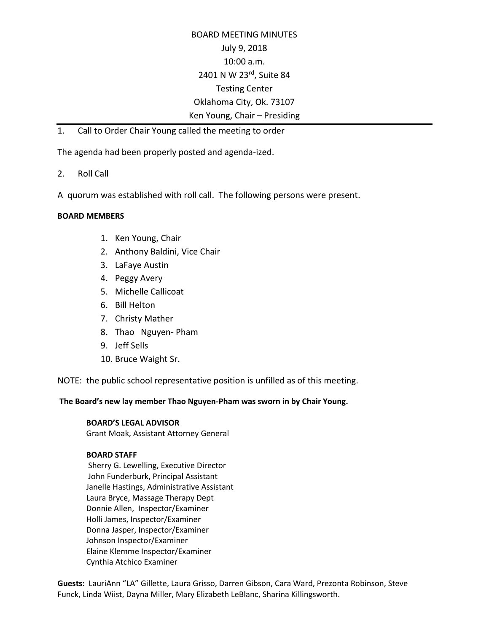# BOARD MEETING MINUTES July 9, 2018 10:00 a.m. 2401 N W 23rd, Suite 84 Testing Center Oklahoma City, Ok. 73107 Ken Young, Chair – Presiding

1. Call to Order Chair Young called the meeting to order

The agenda had been properly posted and agenda-ized.

- 2. Roll Call
- A quorum was established with roll call. The following persons were present.

#### **BOARD MEMBERS**

- 1. Ken Young, Chair
- 2. Anthony Baldini, Vice Chair
- 3. LaFaye Austin
- 4. Peggy Avery
- 5. Michelle Callicoat
- 6. Bill Helton
- 7. Christy Mather
- 8. Thao Nguyen- Pham
- 9. Jeff Sells
- 10. Bruce Waight Sr.

NOTE: the public school representative position is unfilled as of this meeting.

**The Board's new lay member Thao Nguyen-Pham was sworn in by Chair Young.** 

#### **BOARD'S LEGAL ADVISOR**

Grant Moak, Assistant Attorney General

#### **BOARD STAFF**

Sherry G. Lewelling, Executive Director John Funderburk, Principal Assistant Janelle Hastings, Administrative Assistant Laura Bryce, Massage Therapy Dept Donnie Allen, Inspector/Examiner Holli James, Inspector/Examiner Donna Jasper, Inspector/Examiner Johnson Inspector/Examiner Elaine Klemme Inspector/Examiner Cynthia Atchico Examiner

**Guests:** LauriAnn "LA" Gillette, Laura Grisso, Darren Gibson, Cara Ward, Prezonta Robinson, Steve Funck, Linda Wiist, Dayna Miller, Mary Elizabeth LeBlanc, Sharina Killingsworth.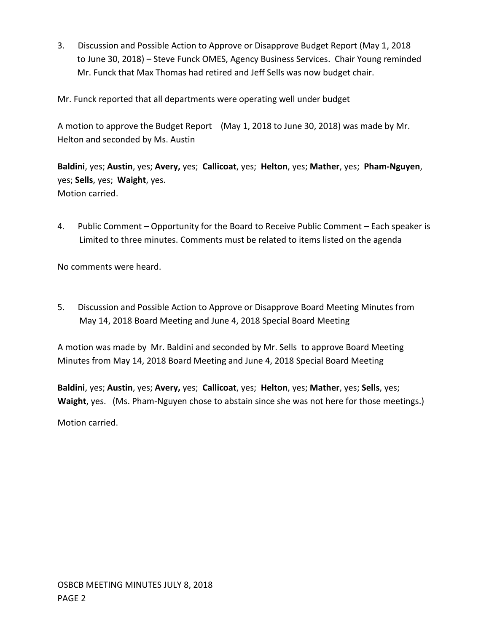3. Discussion and Possible Action to Approve or Disapprove Budget Report (May 1, 2018 to June 30, 2018) – Steve Funck OMES, Agency Business Services. Chair Young reminded Mr. Funck that Max Thomas had retired and Jeff Sells was now budget chair.

Mr. Funck reported that all departments were operating well under budget

A motion to approve the Budget Report (May 1, 2018 to June 30, 2018) was made by Mr. Helton and seconded by Ms. Austin

**Baldini**, yes; **Austin**, yes; **Avery,** yes; **Callicoat**, yes; **Helton**, yes; **Mather**, yes; **Pham-Nguyen**, yes; **Sells**, yes; **Waight**, yes. Motion carried.

4. Public Comment – Opportunity for the Board to Receive Public Comment – Each speaker is Limited to three minutes. Comments must be related to items listed on the agenda

No comments were heard.

5. Discussion and Possible Action to Approve or Disapprove Board Meeting Minutes from May 14, 2018 Board Meeting and June 4, 2018 Special Board Meeting

A motion was made by Mr. Baldini and seconded by Mr. Sells to approve Board Meeting Minutes from May 14, 2018 Board Meeting and June 4, 2018 Special Board Meeting

**Baldini**, yes; **Austin**, yes; **Avery,** yes; **Callicoat**, yes; **Helton**, yes; **Mather**, yes; **Sells**, yes; **Waight**, yes. (Ms. Pham-Nguyen chose to abstain since she was not here for those meetings.) Motion carried.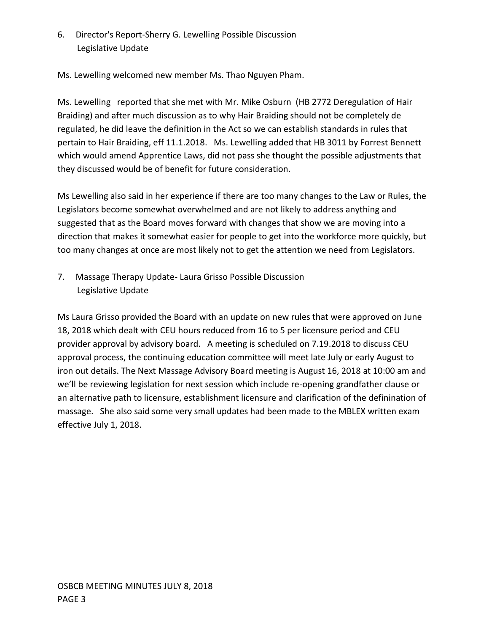6. Director's Report-Sherry G. Lewelling Possible Discussion Legislative Update

Ms. Lewelling welcomed new member Ms. Thao Nguyen Pham.

Ms. Lewelling reported that she met with Mr. Mike Osburn (HB 2772 Deregulation of Hair Braiding) and after much discussion as to why Hair Braiding should not be completely de regulated, he did leave the definition in the Act so we can establish standards in rules that pertain to Hair Braiding, eff 11.1.2018. Ms. Lewelling added that HB 3011 by Forrest Bennett which would amend Apprentice Laws, did not pass she thought the possible adjustments that they discussed would be of benefit for future consideration.

Ms Lewelling also said in her experience if there are too many changes to the Law or Rules, the Legislators become somewhat overwhelmed and are not likely to address anything and suggested that as the Board moves forward with changes that show we are moving into a direction that makes it somewhat easier for people to get into the workforce more quickly, but too many changes at once are most likely not to get the attention we need from Legislators.

7. Massage Therapy Update- Laura Grisso Possible Discussion Legislative Update

Ms Laura Grisso provided the Board with an update on new rules that were approved on June 18, 2018 which dealt with CEU hours reduced from 16 to 5 per licensure period and CEU provider approval by advisory board. A meeting is scheduled on 7.19.2018 to discuss CEU approval process, the continuing education committee will meet late July or early August to iron out details. The Next Massage Advisory Board meeting is August 16, 2018 at 10:00 am and we'll be reviewing legislation for next session which include re-opening grandfather clause or an alternative path to licensure, establishment licensure and clarification of the definination of massage. She also said some very small updates had been made to the MBLEX written exam effective July 1, 2018.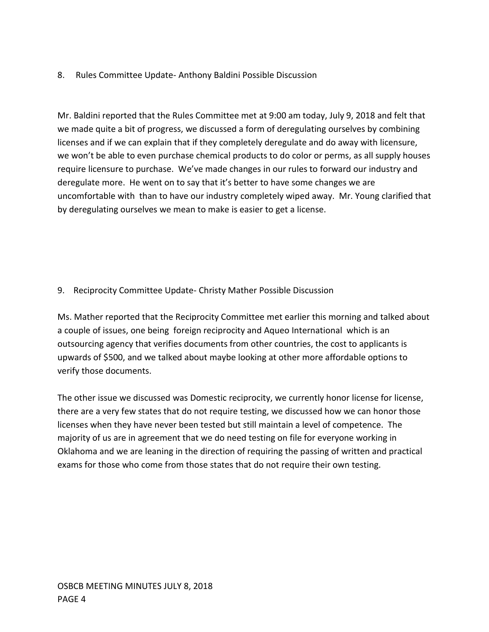## 8. Rules Committee Update- Anthony Baldini Possible Discussion

Mr. Baldini reported that the Rules Committee met at 9:00 am today, July 9, 2018 and felt that we made quite a bit of progress, we discussed a form of deregulating ourselves by combining licenses and if we can explain that if they completely deregulate and do away with licensure, we won't be able to even purchase chemical products to do color or perms, as all supply houses require licensure to purchase. We've made changes in our rules to forward our industry and deregulate more. He went on to say that it's better to have some changes we are uncomfortable with than to have our industry completely wiped away. Mr. Young clarified that by deregulating ourselves we mean to make is easier to get a license.

## 9. Reciprocity Committee Update- Christy Mather Possible Discussion

Ms. Mather reported that the Reciprocity Committee met earlier this morning and talked about a couple of issues, one being foreign reciprocity and Aqueo International which is an outsourcing agency that verifies documents from other countries, the cost to applicants is upwards of \$500, and we talked about maybe looking at other more affordable options to verify those documents.

The other issue we discussed was Domestic reciprocity, we currently honor license for license, there are a very few states that do not require testing, we discussed how we can honor those licenses when they have never been tested but still maintain a level of competence. The majority of us are in agreement that we do need testing on file for everyone working in Oklahoma and we are leaning in the direction of requiring the passing of written and practical exams for those who come from those states that do not require their own testing.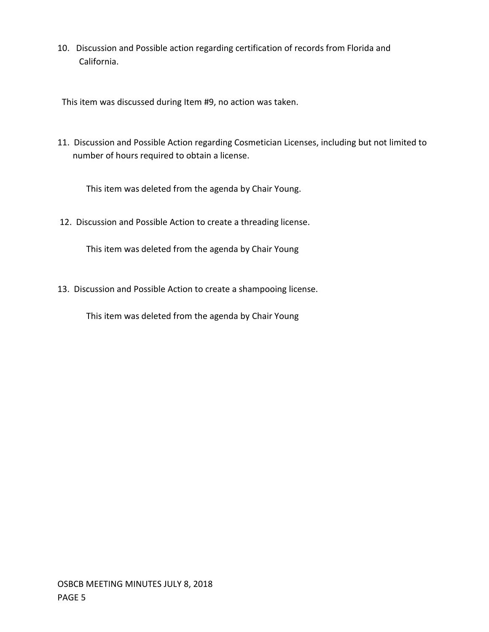10. Discussion and Possible action regarding certification of records from Florida and California.

This item was discussed during Item #9, no action was taken.

11. Discussion and Possible Action regarding Cosmetician Licenses, including but not limited to number of hours required to obtain a license.

This item was deleted from the agenda by Chair Young.

12. Discussion and Possible Action to create a threading license.

This item was deleted from the agenda by Chair Young

13. Discussion and Possible Action to create a shampooing license.

This item was deleted from the agenda by Chair Young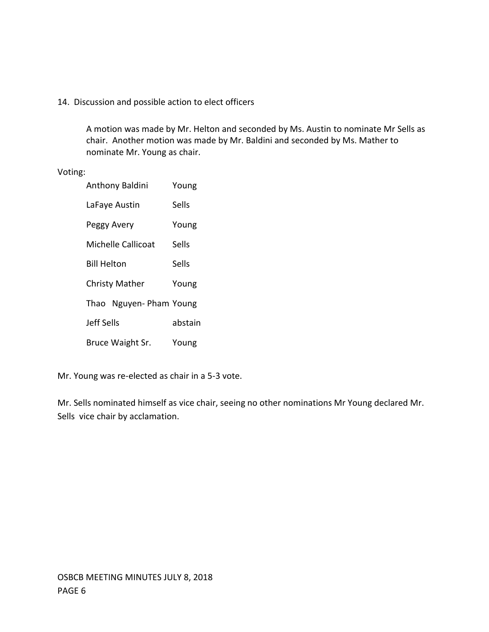### 14. Discussion and possible action to elect officers

A motion was made by Mr. Helton and seconded by Ms. Austin to nominate Mr Sells as chair. Another motion was made by Mr. Baldini and seconded by Ms. Mather to nominate Mr. Young as chair.

### Voting:

| Anthony Baldini        | Young   |
|------------------------|---------|
| LaFaye Austin          | Sells   |
| Peggy Avery            | Young   |
| Michelle Callicoat     | Sells   |
| <b>Bill Helton</b>     | Sells   |
| <b>Christy Mather</b>  | Young   |
| Thao Nguyen-Pham Young |         |
| Jeff Sells             | abstain |
| Bruce Waight Sr.       | Young   |

Mr. Young was re-elected as chair in a 5-3 vote.

Mr. Sells nominated himself as vice chair, seeing no other nominations Mr Young declared Mr. Sells vice chair by acclamation.